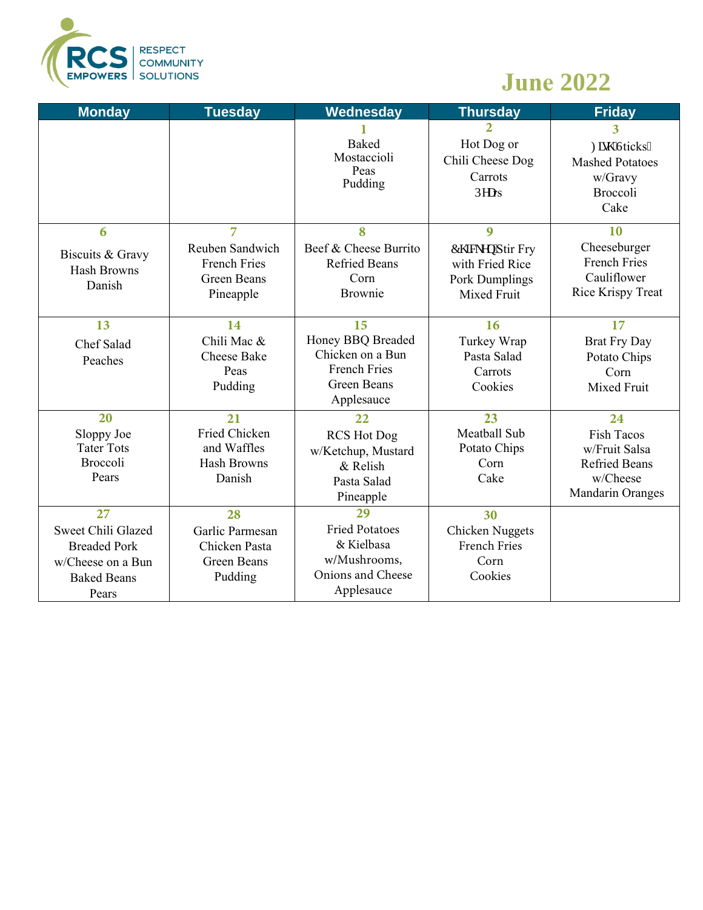

## **June 2022**

| <b>Monday</b>                                                                                       | <b>Tuesday</b>                                                                              | Wednesday                                                                                              | <b>Thursday</b>                                                            | <b>Friday</b>                                                                                            |
|-----------------------------------------------------------------------------------------------------|---------------------------------------------------------------------------------------------|--------------------------------------------------------------------------------------------------------|----------------------------------------------------------------------------|----------------------------------------------------------------------------------------------------------|
|                                                                                                     |                                                                                             | <b>Baked</b><br>Mostaccioli<br>Peas<br>Pudding                                                         | $\overline{2}$<br>Hot Dog or<br>Chili Cheese Dog<br>Carrots<br>Rgcrs       | $\overline{\mathbf{3}}$<br>Hkuj "Uticks"<br><b>Mashed Potatoes</b><br>w/Gravy<br><b>Broccoli</b><br>Cake |
| 6<br>Biscuits & Gravy<br><b>Hash Browns</b><br>Danish                                               | $\overline{7}$<br>Reuben Sandwich<br><b>French Fries</b><br><b>Green Beans</b><br>Pineapple | 8<br>Beef & Cheese Burrito<br><b>Refried Beans</b><br>Corn<br>Brownie                                  | 9<br>Ej lengp'Stir Fry<br>with Fried Rice<br>Pork Dumplings<br>Mixed Fruit | 10<br>Cheeseburger<br><b>French Fries</b><br>Cauliflower<br>Rice Krispy Treat                            |
| 13<br>Chef Salad<br>Peaches                                                                         | 14<br>Chili Mac &<br><b>Cheese Bake</b><br>Peas<br>Pudding                                  | 15<br>Honey BBQ Breaded<br>Chicken on a Bun<br><b>French Fries</b><br><b>Green Beans</b><br>Applesauce | 16<br>Turkey Wrap<br>Pasta Salad<br>Carrots<br>Cookies                     | 17<br><b>Brat Fry Day</b><br>Potato Chips<br>Corn<br>Mixed Fruit                                         |
| 20<br>Sloppy Joe<br><b>Tater Tots</b><br><b>Broccoli</b><br>Pears                                   | 21<br>Fried Chicken<br>and Waffles<br><b>Hash Browns</b><br>Danish                          | 22<br><b>RCS Hot Dog</b><br>w/Ketchup, Mustard<br>& Relish<br>Pasta Salad<br>Pineapple                 | 23<br>Meatball Sub<br>Potato Chips<br>Corn<br>Cake                         | 24<br><b>Fish Tacos</b><br>w/Fruit Salsa<br><b>Refried Beans</b><br>w/Cheese<br>Mandarin Oranges         |
| 27<br>Sweet Chili Glazed<br><b>Breaded Pork</b><br>w/Cheese on a Bun<br><b>Baked Beans</b><br>Pears | 28<br>Garlic Parmesan<br>Chicken Pasta<br><b>Green Beans</b><br>Pudding                     | 29<br><b>Fried Potatoes</b><br>& Kielbasa<br>w/Mushrooms,<br>Onions and Cheese<br>Applesauce           | 30<br>Chicken Nuggets<br><b>French Fries</b><br>Corn<br>Cookies            |                                                                                                          |